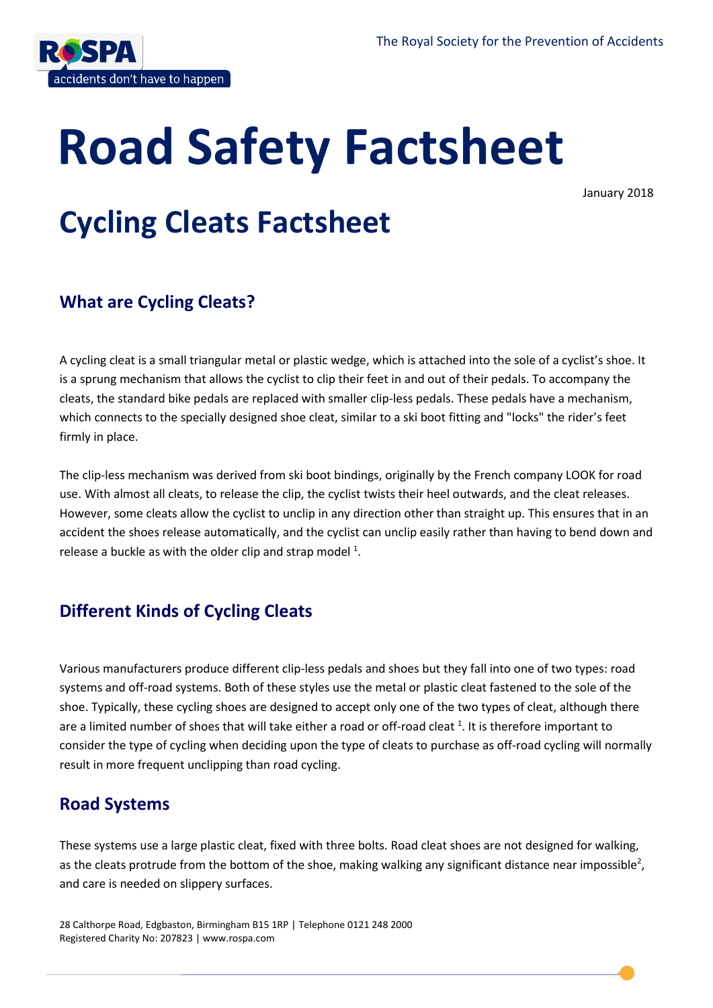

# **Road Safety Factsheet**

January 2018

# **Cycling Cleats Factsheet**

#### **What are Cycling Cleats?**

A cycling cleat is a small triangular metal or plastic wedge, which is attached into the sole of a cyclist's shoe. It is a sprung mechanism that allows the cyclist to clip their feet in and out of their pedals. To accompany the cleats, the standard bike pedals are replaced with smaller clip-less pedals. These pedals have a mechanism, which connects to the specially designed shoe cleat, similar to a ski boot fitting and "locks" the rider's feet firmly in place.

The clip-less mechanism was derived from ski boot bindings, originally by the French company LOOK for road use. With almost all cleats, to release the clip, the cyclist twists their heel outwards, and the cleat releases. However, some cleats allow the cyclist to unclip in any direction other than straight up. This ensures that in an accident the shoes release automatically, and the cyclist can unclip easily rather than having to bend down and release a buckle as with the older clip and strap model  $^1$ .

### **Different Kinds of Cycling Cleats**

Various manufacturers produce different clip-less pedals and shoes but they fall into one of two types: road systems and off-road systems. Both of these styles use the metal or plastic cleat fastened to the sole of the shoe. Typically, these cycling shoes are designed to accept only one of the two types of cleat, although there are a limited number of shoes that will take either a road or off-road cleat  $^1$ . It is therefore important to consider the type of cycling when deciding upon the type of cleats to purchase as off-road cycling will normally result in more frequent unclipping than road cycling.

#### **Road Systems**

These systems use a large plastic cleat, fixed with three bolts. Road cleat shoes are not designed for walking, as the cleats protrude from the bottom of the shoe, making walking any significant distance near impossible<sup>2</sup>, and care is needed on slippery surfaces.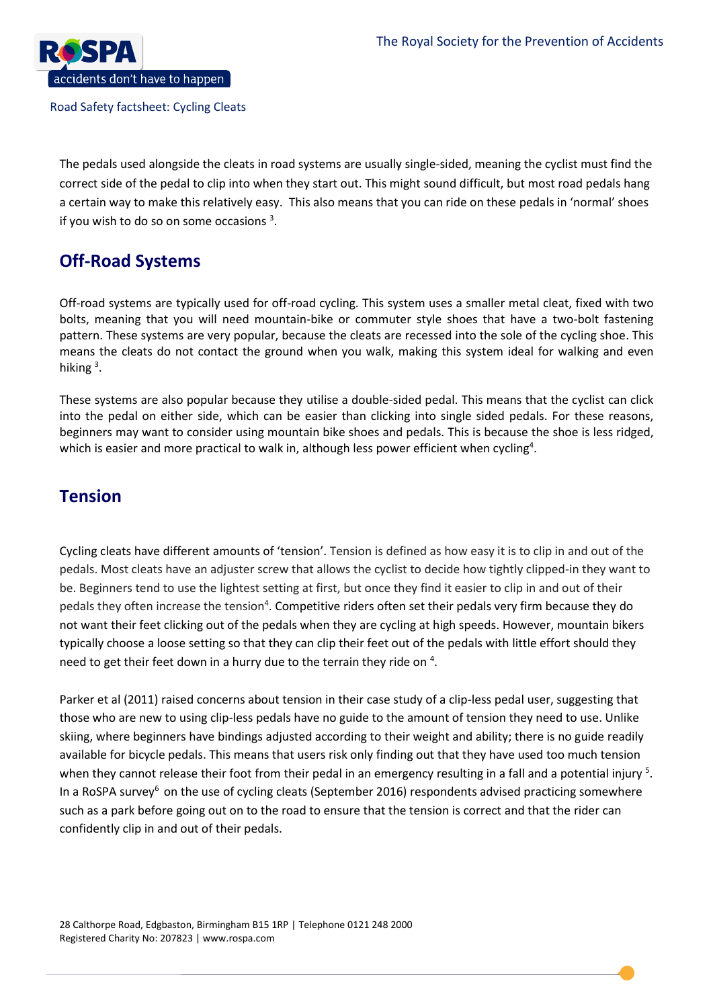

The pedals used alongside the cleats in road systems are usually single-sided, meaning the cyclist must find the correct side of the pedal to clip into when they start out. This might sound difficult, but most road pedals hang a certain way to make this relatively easy. This also means that you can ride on these pedals in 'normal' shoes if you wish to do so on some occasions  $3$ .

#### **Off-Road Systems**

Off-road systems are typically used for off-road cycling. This system uses a smaller metal cleat, fixed with two bolts, meaning that you will need mountain-bike or commuter style shoes that have a two-bolt fastening pattern. These systems are very popular, because the cleats are recessed into the sole of the cycling shoe. This means the cleats do not contact the ground when you walk, making this system ideal for walking and even hiking<sup>3</sup>.

These systems are also popular because they utilise a double-sided pedal. This means that the cyclist can click into the pedal on either side, which can be easier than clicking into single sided pedals. For these reasons, beginners may want to consider using mountain bike shoes and pedals. This is because the shoe is less ridged, which is easier and more practical to walk in, although less power efficient when cycling<sup>4</sup>.

#### **Tension**

Cycling cleats have different amounts of 'tension'. Tension is defined as how easy it is to clip in and out of the pedals. Most cleats have an adjuster screw that allows the cyclist to decide how tightly clipped-in they want to be. Beginners tend to use the lightest setting at first, but once they find it easier to clip in and out of their pedals they often increase the tension<sup>4</sup>. Competitive riders often set their pedals very firm because they do not want their feet clicking out of the pedals when they are cycling at high speeds. However, mountain bikers typically choose a loose setting so that they can clip their feet out of the pedals with little effort should they need to get their feet down in a hurry due to the terrain they ride on  $4$ .

Parker et al (2011) raised concerns about tension in their case study of a clip-less pedal user, suggesting that those who are new to using clip-less pedals have no guide to the amount of tension they need to use. Unlike skiing, where beginners have bindings adjusted according to their weight and ability; there is no guide readily available for bicycle pedals. This means that users risk only finding out that they have used too much tension when they cannot release their foot from their pedal in an emergency resulting in a fall and a potential injury <sup>5</sup>. In a RoSPA survey<sup>6</sup> on the use of cycling cleats (September 2016) respondents advised practicing somewhere such as a park before going out on to the road to ensure that the tension is correct and that the rider can confidently clip in and out of their pedals.

28 Calthorpe Road, Edgbaston, Birmingham B15 1RP | Telephone 0121 248 2000 Registered Charity No: 207823 | www.rospa.com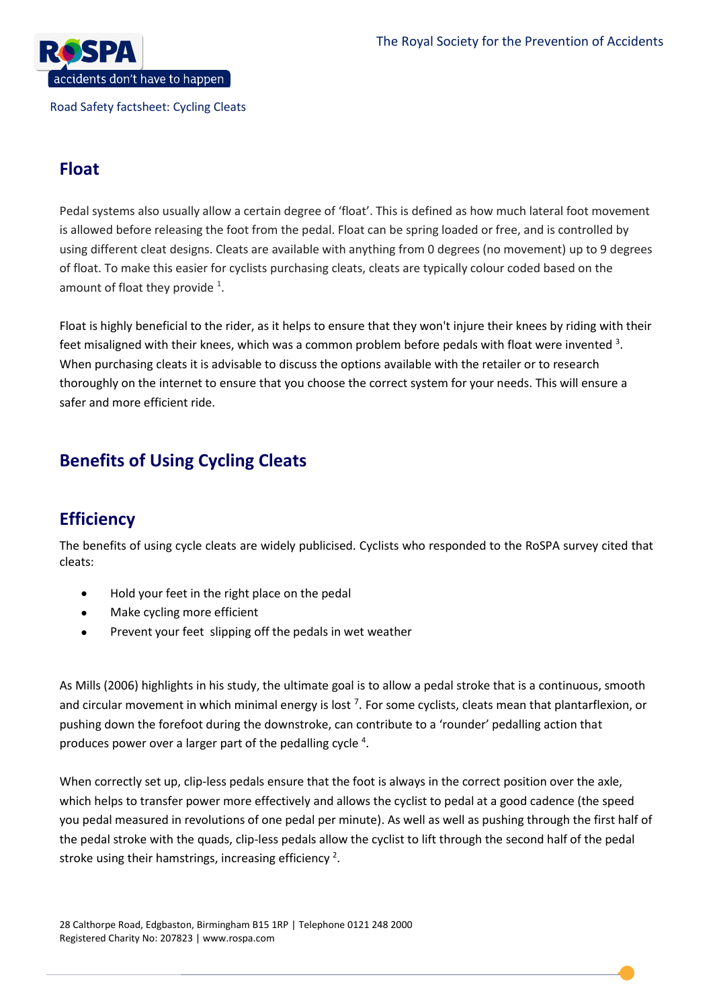

#### **Float**

Pedal systems also usually allow a certain degree of 'float'. This is defined as how much lateral foot movement is allowed before releasing the foot from the pedal. Float can be spring loaded or free, and is controlled by using different cleat designs. Cleats are available with anything from 0 degrees (no movement) up to 9 degrees of float. To make this easier for cyclists purchasing cleats, cleats are typically colour coded based on the amount of float they provide  $1$ .

Float is highly beneficial to the rider, as it helps to ensure that they won't injure their knees by riding with their feet misaligned with their knees, which was a common problem before pedals with float were invented  $^3$ . When purchasing cleats it is advisable to discuss the options available with the retailer or to research thoroughly on the internet to ensure that you choose the correct system for your needs. This will ensure a safer and more efficient ride.

### **Benefits of Using Cycling Cleats**

#### **Efficiency**

The benefits of using cycle cleats are widely publicised. Cyclists who responded to the RoSPA survey cited that cleats:

- Hold your feet in the right place on the pedal
- Make cycling more efficient
- Prevent your feet slipping off the pedals in wet weather

As Mills (2006) highlights in his study, the ultimate goal is to allow a pedal stroke that is a continuous, smooth and circular movement in which minimal energy is lost <sup>7</sup>. For some cyclists, cleats mean that plantarflexion, or pushing down the forefoot during the downstroke, can contribute to a 'rounder' pedalling action that produces power over a larger part of the pedalling cycle  $4$ .

When correctly set up, clip-less pedals ensure that the foot is always in the correct position over the axle, which helps to transfer power more effectively and allows the cyclist to pedal at a good cadence (the speed you pedal measured in revolutions of one pedal per minute). As well as well as pushing through the first half of the pedal stroke with the quads, clip-less pedals allow the cyclist to lift through the second half of the pedal stroke using their hamstrings, increasing efficiency  $^2$ .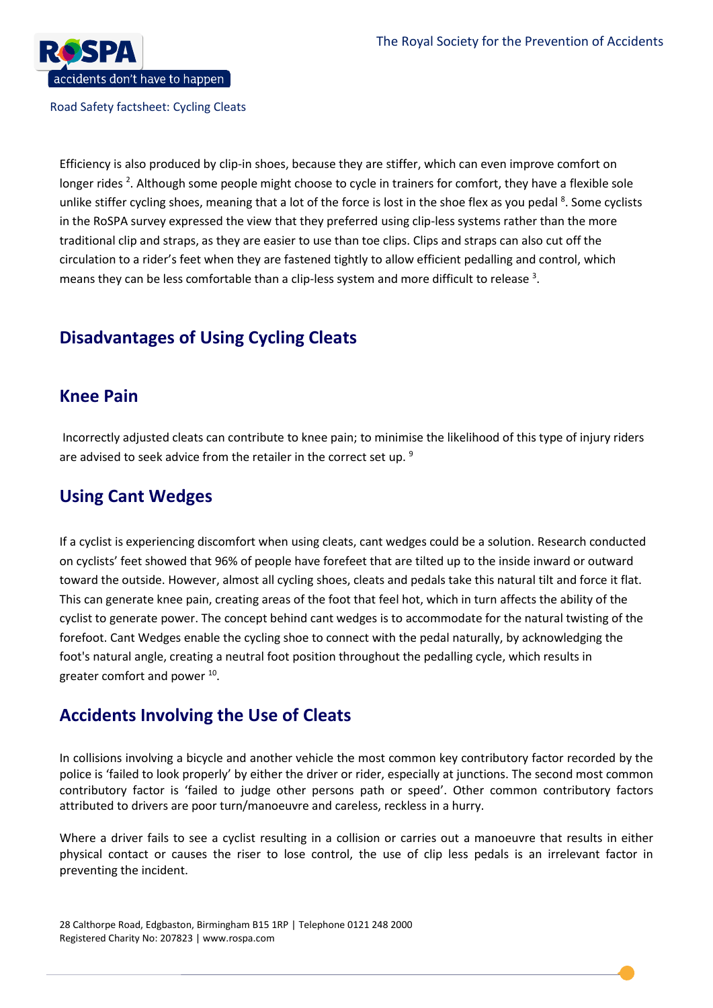

Efficiency is also produced by clip-in shoes, because they are stiffer, which can even improve comfort on longer rides <sup>2</sup>. Although some people might choose to cycle in trainers for comfort, they have a flexible sole unlike stiffer cycling shoes, meaning that a lot of the force is lost in the shoe flex as you pedal <sup>8</sup>. Some cyclists in the RoSPA survey expressed the view that they preferred using clip-less systems rather than the more traditional clip and straps, as they are easier to use than toe clips. Clips and straps can also cut off the circulation to a rider's feet when they are fastened tightly to allow efficient pedalling and control, which means they can be less comfortable than a clip-less system and more difficult to release  $^3$ .

## **Disadvantages of Using Cycling Cleats**

#### **Knee Pain**

Incorrectly adjusted cleats can contribute to knee pain; to minimise the likelihood of this type of injury riders are advised to seek advice from the retailer in the correct set up. <sup>9</sup>

#### **Using Cant Wedges**

If a cyclist is experiencing discomfort when using cleats, cant wedges could be a solution. Research conducted on cyclists' feet showed that 96% of people have forefeet that are tilted up to the inside inward or outward toward the outside. However, almost all cycling shoes, cleats and pedals take this natural tilt and force it flat. This can generate knee pain, creating areas of the foot that feel hot, which in turn affects the ability of the cyclist to generate power. The concept behind cant wedges is to accommodate for the natural twisting of the forefoot. Cant Wedges enable the cycling shoe to connect with the pedal naturally, by acknowledging the foot's natural angle, creating a neutral foot position throughout the pedalling cycle, which results in greater comfort and power <sup>10</sup>.

#### **Accidents Involving the Use of Cleats**

In collisions involving a bicycle and another vehicle the most common key contributory factor recorded by the police is 'failed to look properly' by either the driver or rider, especially at junctions. The second most common contributory factor is 'failed to judge other persons path or speed'. Other common contributory factors attributed to drivers are poor turn/manoeuvre and careless, reckless in a hurry.

Where a driver fails to see a cyclist resulting in a collision or carries out a manoeuvre that results in either physical contact or causes the riser to lose control, the use of clip less pedals is an irrelevant factor in preventing the incident.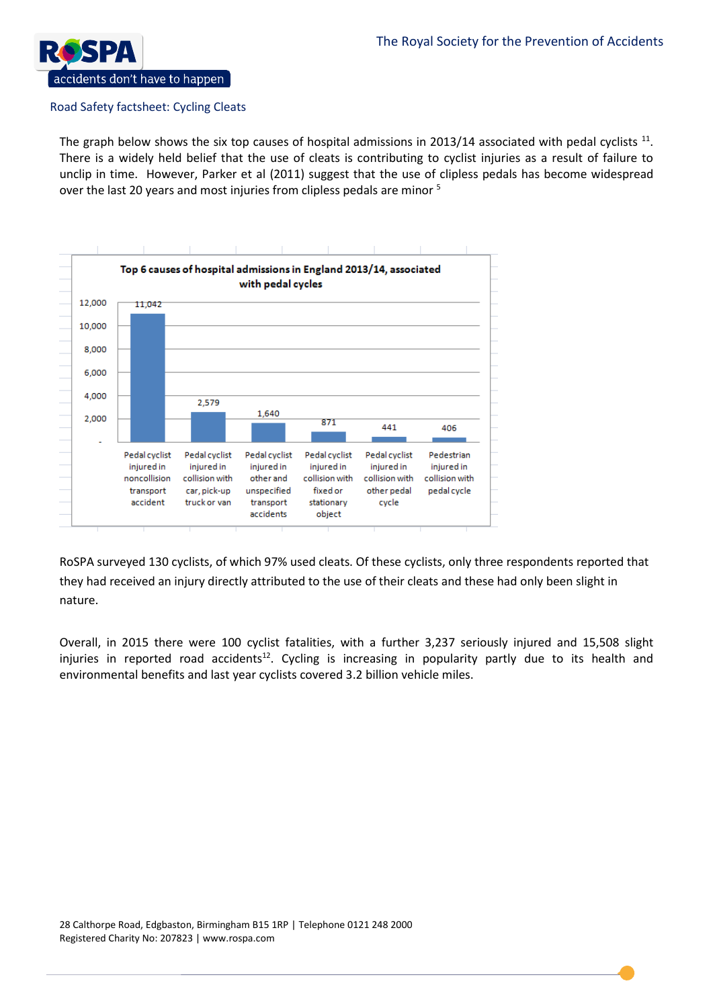

The graph below shows the six top causes of hospital admissions in 2013/14 associated with pedal cyclists  $^{11}$ . There is a widely held belief that the use of cleats is contributing to cyclist injuries as a result of failure to unclip in time. However, Parker et al (2011) suggest that the use of clipless pedals has become widespread over the last 20 years and most injuries from clipless pedals are minor <sup>5</sup>



RoSPA surveyed 130 cyclists, of which 97% used cleats. Of these cyclists, only three respondents reported that they had received an injury directly attributed to the use of their cleats and these had only been slight in nature.

Overall, in 2015 there were 100 cyclist fatalities, with a further 3,237 seriously injured and 15,508 slight injuries in reported road accidents<sup>12</sup>. Cycling is increasing in popularity partly due to its health and environmental benefits and last year cyclists covered 3.2 billion vehicle miles.